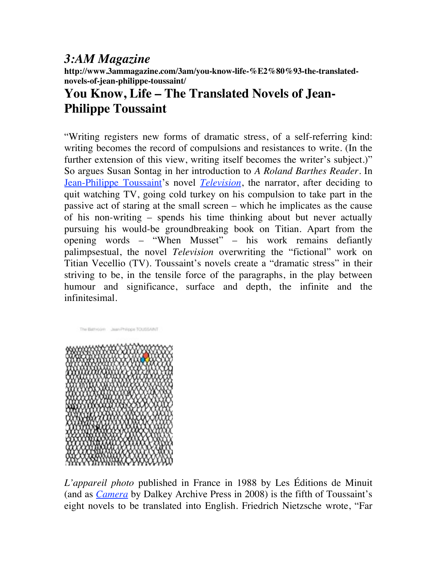## *3:AM Magazine*

**http://www.3ammagazine.com/3am/you-know-life-%E2%80%93-the-translatednovels-of-jean-philippe-toussaint/**

## **You Know, Life – The Translated Novels of Jean-Philippe Toussaint**

"Writing registers new forms of dramatic stress, of a self-referring kind: writing becomes the record of compulsions and resistances to write. (In the further extension of this view, writing itself becomes the writer's subject.)" So argues Susan Sontag in her introduction to *A Roland Barthes Reader*. In Jean-Philippe Toussaint's novel *Television*, the narrator, after deciding to quit watching TV, going cold turkey on his compulsion to take part in the passive act of staring at the small screen – which he implicates as the cause of his non-writing – spends his time thinking about but never actually pursuing his would-be groundbreaking book on Titian. Apart from the opening words – "When Musset" – his work remains defiantly palimpsestual, the novel *Television* overwriting the "fictional" work on Titian Vecellio (TV). Toussaint's novels create a "dramatic stress" in their striving to be, in the tensile force of the paragraphs, in the play between humour and significance, surface and depth, the infinite and the infinitesimal.



*L'appareil photo* published in France in 1988 by Les Éditions de Minuit (and as *Camera* by Dalkey Archive Press in 2008) is the fifth of Toussaint's eight novels to be translated into English. Friedrich Nietzsche wrote, "Far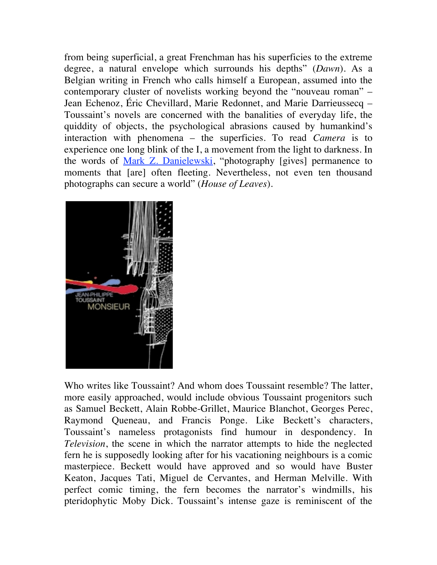from being superficial, a great Frenchman has his superficies to the extreme degree, a natural envelope which surrounds his depths" (*Dawn*). As a Belgian writing in French who calls himself a European, assumed into the contemporary cluster of novelists working beyond the "nouveau roman" – Jean Echenoz, Éric Chevillard, Marie Redonnet, and Marie Darrieussecq – Toussaint's novels are concerned with the banalities of everyday life, the quiddity of objects, the psychological abrasions caused by humankind's interaction with phenomena – the superficies. To read *Camera* is to experience one long blink of the I, a movement from the light to darkness. In the words of <u>Mark Z. Danielewski</u>, "photography [gives] permanence to moments that [are] often fleeting. Nevertheless, not even ten thousand photographs can secure a world" (*House of Leaves*).



Who writes like Toussaint? And whom does Toussaint resemble? The latter, more easily approached, would include obvious Toussaint progenitors such as Samuel Beckett, Alain Robbe-Grillet, Maurice Blanchot, Georges Perec, Raymond Queneau, and Francis Ponge. Like Beckett's characters, Toussaint's nameless protagonists find humour in despondency. In *Television*, the scene in which the narrator attempts to hide the neglected fern he is supposedly looking after for his vacationing neighbours is a comic masterpiece. Beckett would have approved and so would have Buster Keaton, Jacques Tati, Miguel de Cervantes, and Herman Melville. With perfect comic timing, the fern becomes the narrator's windmills, his pteridophytic Moby Dick. Toussaint's intense gaze is reminiscent of the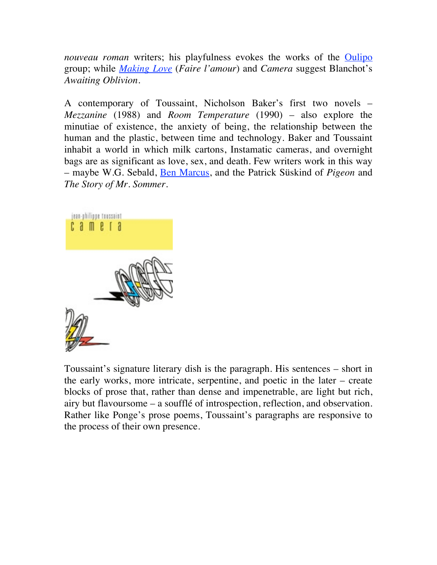*nouveau roman* writers; his playfulness evokes the works of the **Oulipo** group; while *Making Love* (*Faire l'amour*) and *Camera* suggest Blanchot's *Awaiting Oblivion*.

A contemporary of Toussaint, Nicholson Baker's first two novels – *Mezzanine* (1988) and *Room Temperature* (1990) – also explore the minutiae of existence, the anxiety of being, the relationship between the human and the plastic, between time and technology. Baker and Toussaint inhabit a world in which milk cartons, Instamatic cameras, and overnight bags are as significant as love, sex, and death. Few writers work in this way – maybe W.G. Sebald, Ben Marcus, and the Patrick Süskind of *Pigeon* and *The Story of Mr. Sommer*.



Toussaint's signature literary dish is the paragraph. His sentences – short in the early works, more intricate, serpentine, and poetic in the later – create blocks of prose that, rather than dense and impenetrable, are light but rich, airy but flavoursome – a soufflé of introspection, reflection, and observation. Rather like Ponge's prose poems, Toussaint's paragraphs are responsive to the process of their own presence.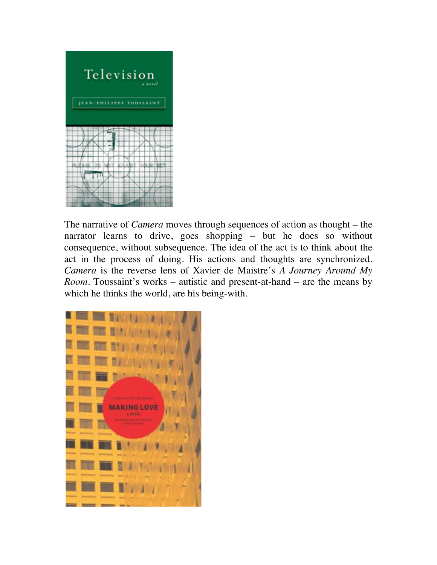

The narrative of *Camera* moves through sequences of action as thought – the narrator learns to drive, goes shopping – but he does so without consequence, without subsequence. The idea of the act is to think about the act in the process of doing. His actions and thoughts are synchronized. *Camera* is the reverse lens of Xavier de Maistre's *A Journey Around My Room*. Toussaint's works – autistic and present-at-hand – are the means by which he thinks the world, are his being-with.

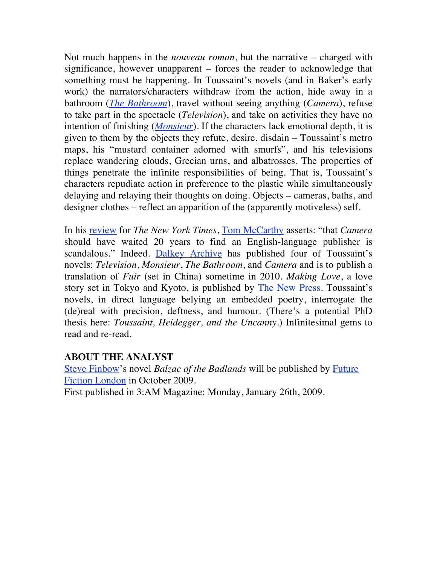Not much happens in the *nouveau roman*, but the narrative – charged with significance, however unapparent – forces the reader to acknowledge that something must be happening. In Toussaint's novels (and in Baker's early work) the narrators/characters withdraw from the action, hide away in a bathroom (*The Bathroom*), travel without seeing anything (*Camera*), refuse to take part in the spectacle (*Television*), and take on activities they have no intention of finishing (*Monsieur*). If the characters lack emotional depth, it is given to them by the objects they refute, desire, disdain – Toussaint's metro maps, his "mustard container adorned with smurfs", and his televisions replace wandering clouds, Grecian urns, and albatrosses. The properties of things penetrate the infinite responsibilities of being. That is, Toussaint's characters repudiate action in preference to the plastic while simultaneously delaying and relaying their thoughts on doing. Objects – cameras, baths, and designer clothes – reflect an apparition of the (apparently motiveless) self.

In his review for *The New York Times*, Tom McCarthy asserts: "that *Camera* should have waited 20 years to find an English-language publisher is scandalous." Indeed. Dalkey Archive has published four of Toussaint's novels: *Television*, *Monsieur*, *The Bathroom*, and *Camera* and is to publish a translation of *Fuir* (set in China) sometime in 2010. *Making Love*, a love story set in Tokyo and Kyoto, is published by The New Press. Toussaint's novels, in direct language belying an embedded poetry, interrogate the (de)real with precision, deftness, and humour. (There's a potential PhD thesis here: *Toussaint, Heidegger, and the Uncanny*.) Infinitesimal gems to read and re-read.

## **ABOUT THE ANALYST**

Steve Finbow's novel *Balzac of the Badlands* will be published by Future Fiction London in October 2009. First published in 3:AM Magazine: Monday, January 26th, 2009.